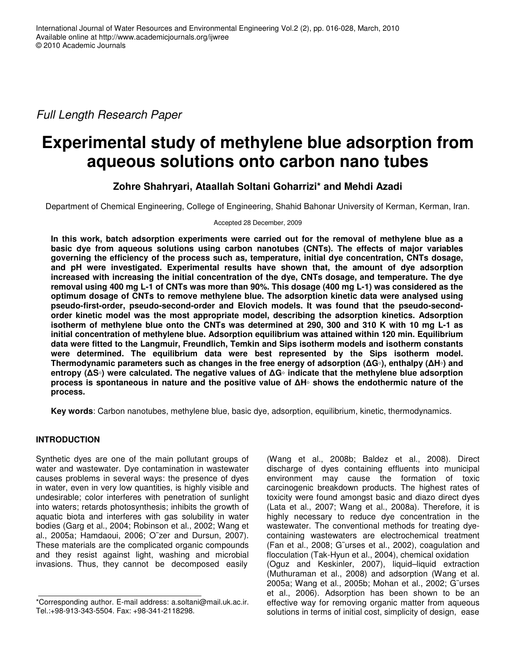*Full Length Research Paper*

# **Experimental study of methylene blue adsorption from aqueous solutions onto carbon nano tubes**

# **Zohre Shahryari, Ataallah Soltani Goharrizi\* and Mehdi Azadi**

Department of Chemical Engineering, College of Engineering, Shahid Bahonar University of Kerman, Kerman, Iran.

Accepted 28 December, 2009

**In this work, batch adsorption experiments were carried out for the removal of methylene blue as a basic dye from aqueous solutions using carbon nanotubes (CNTs). The effects of major variables governing the efficiency of the process such as, temperature, initial dye concentration, CNTs dosage, and pH were investigated. Experimental results have shown that, the amount of dye adsorption increased with increasing the initial concentration of the dye, CNTs dosage, and temperature. The dye** removal using 400 mg L-1 of CNTs was more than 90%. This dosage (400 mg L-1) was considered as the **optimum dosage of CNTs to remove methylene blue. The adsorption kinetic data were analysed using pseudo-first-order, pseudo-second-order and Elovich models. It was found that the pseudo-secondorder kinetic model was the most appropriate model, describing the adsorption kinetics. Adsorption** isotherm of methylene blue onto the CNTs was determined at 290, 300 and 310 K with 10 mg L-1 as **initial concentration of methylene blue. Adsorption equilibrium was attained within 120 min. Equilibrium data were fitted to the Langmuir, Freundlich, Temkin and Sips isotherm models and isotherm constants were determined. The equilibrium data were best represented by the Sips isotherm model.** Thermodynamic parameters such as changes in the free energy of adsorption ( $\Delta G$ ), enthalpy ( $\Delta H$ ) and **entropy (S**-**) were calculated. The negative values of G**- **indicate that the methylene blue adsorption process is spontaneous in nature and the positive value of H**- **shows the endothermic nature of the process.**

**Key words**: Carbon nanotubes, methylene blue, basic dye, adsorption, equilibrium, kinetic, thermodynamics.

# **INTRODUCTION**

Synthetic dyes are one of the main pollutant groups of water and wastewater. Dye contamination in wastewater causes problems in several ways: the presence of dyes in water, even in very low quantities, is highly visible and undesirable; color interferes with penetration of sunlight into waters; retards photosynthesis; inhibits the growth of aquatic biota and interferes with gas solubility in water bodies (Garg et al., 2004; Robinson et al., 2002; Wang et al., 2005a; Hamdaoui, 2006; O¨zer and Dursun, 2007). These materials are the complicated organic compounds and they resist against light, washing and microbial invasions. Thus, they cannot be decomposed easily

(Wang et al., 2008b; Baldez et al., 2008). Direct discharge of dyes containing effluents into municipal environment may cause the formation of toxic carcinogenic breakdown products. The highest rates of toxicity were found amongst basic and diazo direct dyes (Lata et al., 2007; Wang et al., 2008a). Therefore, it is highly necessary to reduce dye concentration in the wastewater. The conventional methods for treating dyecontaining wastewaters are electrochemical treatment (Fan et al., 2008; G¨urses et al., 2002), coagulation and flocculation (Tak-Hyun et al., 2004), chemical oxidation (Oguz and Keskinler, 2007), liquid–liquid extraction (Muthuraman et al., 2008) and adsorption (Wang et al. 2005a; Wang et al., 2005b; Mohan et al., 2002; G¨urses et al., 2006). Adsorption has been shown to be an effective way for removing organic matter from aqueous solutions in terms of initial cost, simplicity of design, ease

<sup>\*</sup>Corresponding author. E-mail address: a.soltani@mail.uk.ac.ir. Tel.:+98-913-343-5504. Fax: +98-341-2118298.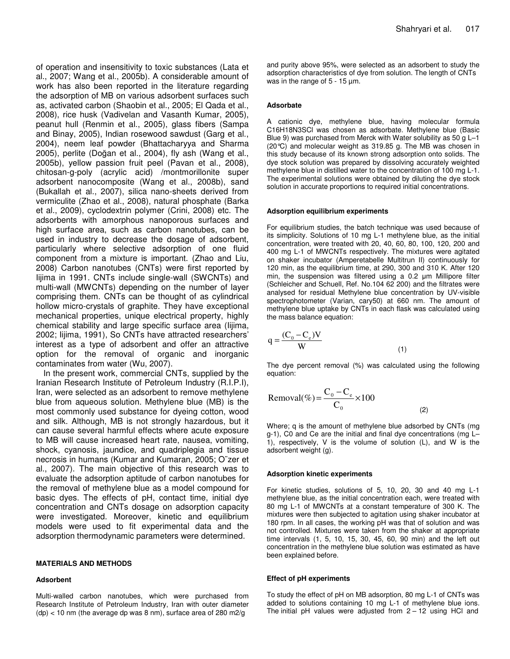of operation and insensitivity to toxic substances (Lata et al., 2007; Wang et al., 2005b). A considerable amount of work has also been reported in the literature regarding the adsorption of MB on various adsorbent surfaces such as, activated carbon (Shaobin et al., 2005; El Qada et al., 2008), rice husk (Vadivelan and Vasanth Kumar, 2005), peanut hull (Renmin et al., 2005), glass fibers (Sampa and Binay, 2005), Indian rosewood sawdust (Garg et al., 2004), neem leaf powder (Bhattacharyya and Sharma 2005), perlite (Doğan et al., 2004), fly ash (Wang et al., 2005b), yellow passion fruit peel (Pavan et al., 2008), chitosan-g-poly (acrylic acid) /montmorillonite super adsorbent nanocomposite (Wang et al., 2008b), sand (Bukallah et al., 2007), silica nano-sheets derived from vermiculite (Zhao et al., 2008), natural phosphate (Barka et al., 2009), cyclodextrin polymer (Crini, 2008) etc. The adsorbents with amorphous nanoporous surfaces and high surface area, such as carbon nanotubes, can be used in industry to decrease the dosage of adsorbent, particularly where selective adsorption of one fluid component from a mixture is important. (Zhao and Liu, 2008) Carbon nanotubes (CNTs) were first reported by Iijima in 1991. CNTs include single-wall (SWCNTs) and multi-wall (MWCNTs) depending on the number of layer comprising them. CNTs can be thought of as cylindrical hollow micro-crystals of graphite. They have exceptional mechanical properties, unique electrical property, highly chemical stability and large specific surface area (Iijima, 2002; Iijima, 1991), So CNTs have attracted researchers' interest as a type of adsorbent and offer an attractive option for the removal of organic and inorganic contaminates from water (Wu, 2007).

In the present work, commercial CNTs, supplied by the Iranian Research Institute of Petroleum Industry (R.I.P.I), Iran, were selected as an adsorbent to remove methylene blue from aqueous solution. Methylene blue (MB) is the most commonly used substance for dyeing cotton, wood and silk. Although, MB is not strongly hazardous, but it can cause several harmful effects where acute exposure to MB will cause increased heart rate, nausea, vomiting, shock, cyanosis, jaundice, and quadriplegia and tissue necrosis in humans (Kumar and Kumaran, 2005; O¨zer et al., 2007). The main objective of this research was to evaluate the adsorption aptitude of carbon nanotubes for the removal of methylene blue as a model compound for basic dyes. The effects of pH, contact time, initial dye concentration and CNTs dosage on adsorption capacity were investigated. Moreover, kinetic and equilibrium models were used to fit experimental data and the adsorption thermodynamic parameters were determined.

#### **MATERIALS AND METHODS**

## **Adsorbent**

Multi-walled carbon nanotubes, which were purchased from Research Institute of Petroleum Industry, Iran with outer diameter  $(dp)$  < 10 nm (the average dp was 8 nm), surface area of 280 m2/g

and purity above 95%, were selected as an adsorbent to study the adsorption characteristics of dye from solution. The length of CNTs was in the range of 5 - 15  $\mu$ m.

### **Adsorbate**

A cationic dye, methylene blue, having molecular formula C16H18N3SCl was chosen as adsorbate. Methylene blue (Basic Blue 9) was purchased from Merck with Water solubility as 50 g L–1 (20°C) and molecular weight as 319.85 g. The MB was chosen in this study because of its known strong adsorption onto solids. The dye stock solution was prepared by dissolving accurately weighted methylene blue in distilled water to the concentration of 100 mg L-1. The experimental solutions were obtained by diluting the dye stock solution in accurate proportions to required initial concentrations.

#### **Adsorption equilibrium experiments**

For equilibrium studies, the batch technique was used because of its simplicity. Solutions of 10 mg L-1 methylene blue, as the initial concentration, were treated with 20, 40, 60, 80, 100, 120, 200 and 400 mg L-1 of MWCNTs respectively. The mixtures were agitated on shaker incubator (Amperetabelle Multitrun II) continuously for 120 min, as the equilibrium time, at 290, 300 and 310 K. After 120 min, the suspension was filtered using a 0.2 µm Millipore filter (Schleicher and Schuell, Ref. No.104 62 200) and the filtrates were analysed for residual Methylene blue concentration by UV-visible spectrophotometer (Varian, cary50) at 660 nm. The amount of methylene blue uptake by CNTs in each flask was calculated using the mass balance equation:

$$
q = \frac{(C_0 - C_e)V}{W}
$$
 (1)

The dye percent removal (%) was calculated using the following equation:

$$
Removal(\%)=\frac{C_0 - C_e}{C_0} \times 100
$$
\n(2)

Where; q is the amount of methylene blue adsorbed by CNTs (mg g-1), C0 and Ce are the initial and final dye concentrations (mg L– 1), respectively, V is the volume of solution (L), and W is the adsorbent weight (g).

## **Adsorption kinetic experiments**

For kinetic studies, solutions of 5, 10, 20, 30 and 40 mg L-1 methylene blue, as the initial concentration each, were treated with 80 mg L-1 of MWCNTs at a constant temperature of 300 K. The mixtures were then subjected to agitation using shaker incubator at 180 rpm. In all cases, the working pH was that of solution and was not controlled. Mixtures were taken from the shaker at appropriate time intervals (1, 5, 10, 15, 30, 45, 60, 90 min) and the left out concentration in the methylene blue solution was estimated as have been explained before.

#### **Effect of pH experiments**

To study the effect of pH on MB adsorption, 80 mg L-1 of CNTs was added to solutions containing 10 mg L-1 of methylene blue ions. The initial pH values were adjusted from  $2 - 12$  using HCl and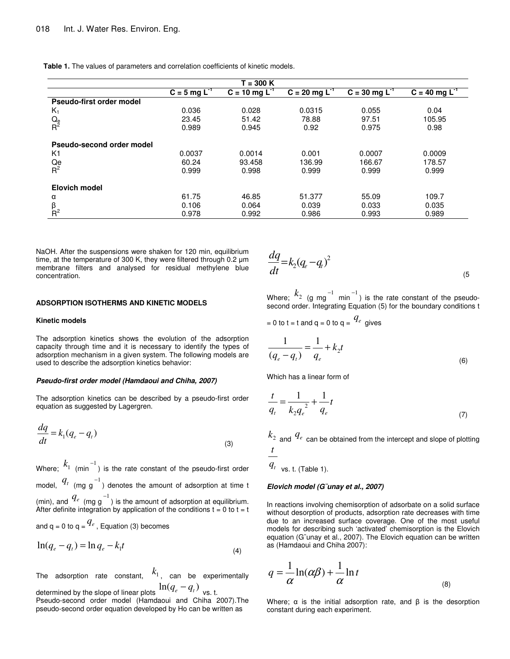**Table 1.** The values of parameters and correlation coefficients of kinetic models.

|                           |                            | $T = 300 K$                 |                      |                             |                      |
|---------------------------|----------------------------|-----------------------------|----------------------|-----------------------------|----------------------|
|                           | $C = 5$ mg L <sup>-1</sup> | $C = 10$ mg L <sup>-1</sup> | $C = 20$ mg $L^{-1}$ | $C = 30$ mg L <sup>-1</sup> | $C = 40$ mg $L^{-1}$ |
| Pseudo-first order model  |                            |                             |                      |                             |                      |
| $K_1$                     | 0.036                      | 0.028                       | 0.0315               | 0.055                       | 0.04                 |
| $Q_e$ R <sup>2</sup>      | 23.45                      | 51.42                       | 78.88                | 97.51                       | 105.95               |
|                           | 0.989                      | 0.945                       | 0.92                 | 0.975                       | 0.98                 |
| Pseudo-second order model |                            |                             |                      |                             |                      |
| K1                        | 0.0037                     | 0.0014                      | 0.001                | 0.0007                      | 0.0009               |
| $\frac{Qe}{R^2}$          | 60.24                      | 93.458                      | 136.99               | 166.67                      | 178.57               |
|                           | 0.999                      | 0.998                       | 0.999                | 0.999                       | 0.999                |
| Elovich model             |                            |                             |                      |                             |                      |
| α                         | 61.75                      | 46.85                       | 51.377               | 55.09                       | 109.7                |
| $\frac{\beta}{R^2}$       | 0.106                      | 0.064                       | 0.039                | 0.033                       | 0.035                |
|                           | 0.978                      | 0.992                       | 0.986                | 0.993                       | 0.989                |

NaOH. After the suspensions were shaken for 120 min, equilibrium time, at the temperature of 300 K, they were filtered through 0.2  $\mu$ m membrane filters and analysed for residual methylene blue concentration.

#### **ADSORPTION ISOTHERMS AND KINETIC MODELS**

#### **Kinetic models**

The adsorption kinetics shows the evolution of the adsorption capacity through time and it is necessary to identify the types of adsorption mechanism in a given system. The following models are used to describe the adsorption kinetics behavior:

#### *Pseudo-first order model (Hamdaoui and Chiha, 2007)*

The adsorption kinetics can be described by a pseudo-first order equation as suggested by Lagergren.

$$
\frac{dq}{dt} = k_1(q_e - q_t) \tag{3}
$$

Where;  $k_1$   $_{(-1)}^{-1}$  is the rate constant of the pseudo-first order model,  $q_t$  (mg g<sup>-1</sup>) denotes the amount of adsorption at time t (min), and  $q_e$  (mg g<sup>-1</sup>) is the amount of adsorption at equilibrium. After definite integration by application of the conditions  $t = 0$  to  $t = t$ and q = 0 to q =  $q^{\ell_e}$  , Equation (3) becomes

$$
\ln(q_e - q_t) = \ln q_e - k_1 t \tag{4}
$$

The adsorption rate constant, 1 *k* , can be experimentally determined by the slope of linear plots  $\ln (q_e - q_t)$  vs. t.

Pseudo-second order model (Hamdaoui and Chiha 2007).The pseudo-second order equation developed by Ho can be written as

$$
\frac{dq}{dt} = k_2 (q_e - q_t)^2 \tag{5}
$$

Where;  $k_2$  (g mg  $^{-1}$  min<sup>-1</sup>) is the rate constant of the pseudosecond order. Integrating Equation (5) for the boundary conditions t

= 0 to t = t and q = 0 to q = 
$$
q_e
$$
 gives

$$
\frac{1}{(q_e - q_t)} = \frac{1}{q_e} + k_2 t
$$
\n(6)

Which has a linear form of

$$
\frac{t}{q_t} = \frac{1}{k_2 q_e^2} + \frac{1}{q_e} t
$$
\n(7)

 $k_{\rm 2}^{}$  and  $\,q_{e}^{}$  can be obtained from the intercept and slope of plotting *t*

 $q_t$  vs. t. (Table 1).

#### *Elovich model (G¨unay et al., 2007)*

In reactions involving chemisorption of adsorbate on a solid surface without desorption of products, adsorption rate decreases with time due to an increased surface coverage. One of the most useful models for describing such 'activated' chemisorption is the Elovich equation (G¨unay et al., 2007). The Elovich equation can be written as (Hamdaoui and Chiha 2007):

$$
q = \frac{1}{\alpha} \ln(\alpha \beta) + \frac{1}{\alpha} \ln t
$$
\n(8)

Where;  $\alpha$  is the initial adsorption rate, and  $\beta$  is the desorption constant during each experiment.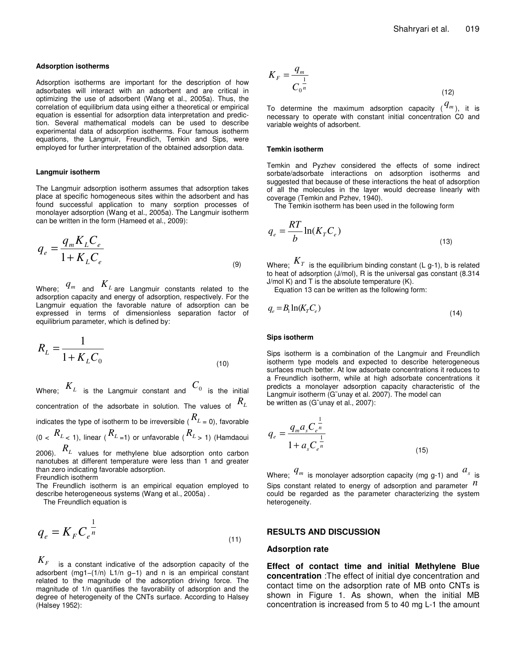#### **Adsorption isotherms**

Adsorption isotherms are important for the description of how adsorbates will interact with an adsorbent and are critical in optimizing the use of adsorbent (Wang et al., 2005a). Thus, the correlation of equilibrium data using either a theoretical or empirical equation is essential for adsorption data interpretation and prediction. Several mathematical models can be used to describe experimental data of adsorption isotherms. Four famous isotherm equations, the Langmuir, Freundlich, Temkin and Sips, were employed for further interpretation of the obtained adsorption data.

#### **Langmuir isotherm**

The Langmuir adsorption isotherm assumes that adsorption takes place at specific homogeneous sites within the adsorbent and has found successful application to many sorption processes of monolayer adsorption (Wang et al., 2005a). The Langmuir isotherm can be written in the form (Hameed et al., 2009):

$$
q_e = \frac{q_m K_L C_e}{1 + K_L C_e} \tag{9}
$$

Where;  $q_m$  and  $K_L$  are Langmuir constants related to the adsorption capacity and energy of adsorption, respectively. For the Langmuir equation the favorable nature of adsorption can be expressed in terms of dimensionless separation factor of equilibrium parameter, which is defined by:

$$
R_L = \frac{1}{1 + K_L C_0} \tag{10}
$$

Where;  $K_L$  is the Langmuir constant and  $C_0$  is the initial concentration of the adsorbate in solution. The values of *RL* indicates the type of isotherm to be irreversible (  $R_{\scriptscriptstyle L}$  <sub>=</sub> 0), favorable  $R$ <sup>*L*</sup>  $<$  1), linear ( $R$ <sup>*L*</sup> =1) or unfavorable ( $R$ <sup>*L*</sup>  $>$  1) (Hamdaoui 2006). *R<sup>L</sup>* values for methylene blue adsorption onto carbon

nanotubes at different temperature were less than 1 and greater than zero indicating favorable adsorption. Freundlich isotherm

The Freundlich isotherm is an empirical equation employed to describe heterogeneous systems (Wang et al., 2005a) .

The Freundlich equation is

$$
q_e = K_F C_e^{\frac{1}{n}}
$$
\n<sup>(11)</sup>

*K<sup>F</sup>* is <sup>a</sup> constant indicative of the adsorption capacity of the adsorbent (mg1−(1/n) L1/n g−1) and n is an empirical constant related to the magnitude of the adsorption driving force. The magnitude of 1/n quantifies the favorability of adsorption and the degree of heterogeneity of the CNTs surface. According to Halsey (Halsey 1952):

$$
K_F = \frac{q_m}{C_0^{\frac{1}{n}}}
$$
\n
$$
(12)
$$

To determine the maximum adsorption capacity  $({}^{\textstyle q_m})$ , it is necessary to operate with constant initial concentration C0 and variable weights of adsorbent.

#### **Temkin isotherm**

Temkin and Pyzhev considered the effects of some indirect sorbate/adsorbate interactions on adsorption isotherms and suggested that because of these interactions the heat of adsorption of all the molecules in the layer would decrease linearly with coverage (Temkin and Pzhev, 1940).

The Temkin isotherm has been used in the following form

$$
q_e = \frac{RT}{b} \ln(K_T C_e)
$$
\n(13)

Where;  $\,K_{T}\,$  is the equilibrium binding constant (L g-1), b is related to heat of adsorption (J/mol), R is the universal gas constant (8.314 J/mol K) and T is the absolute temperature (K).

Equation 13 can be written as the following form:

$$
q_e = B_1 \ln(K_T C_e) \tag{14}
$$

#### **Sips isotherm**

Sips isotherm is a combination of the Langmuir and Freundlich isotherm type models and expected to describe heterogeneous surfaces much better. At low adsorbate concentrations it reduces to a Freundlich isotherm, while at high adsorbate concentrations it predicts a monolayer adsorption capacity characteristic of the Langmuir isotherm (G¨unay et al. 2007). The model can be written as (G¨unay et al., 2007):

$$
q_e = \frac{q_m a_s C_e^{\frac{1}{n}}}{1 + a_s C_e^{\frac{1}{n}}}
$$
(15)

Where;  $q_m$  is monolayer adsorption capacity (mg g-1) and  $a_s$  is Sips constant related to energy of adsorption and parameter *n* could be regarded as the parameter characterizing the system heterogeneity.

## **RESULTS AND DISCUSSION**

#### **Adsorption rate**

**Effect of contact time and initial Methylene Blue concentration** :The effect of initial dye concentration and contact time on the adsorption rate of MB onto CNTs is shown in Figure 1. As shown, when the initial MB concentration is increased from 5 to 40 mg L-1 the amount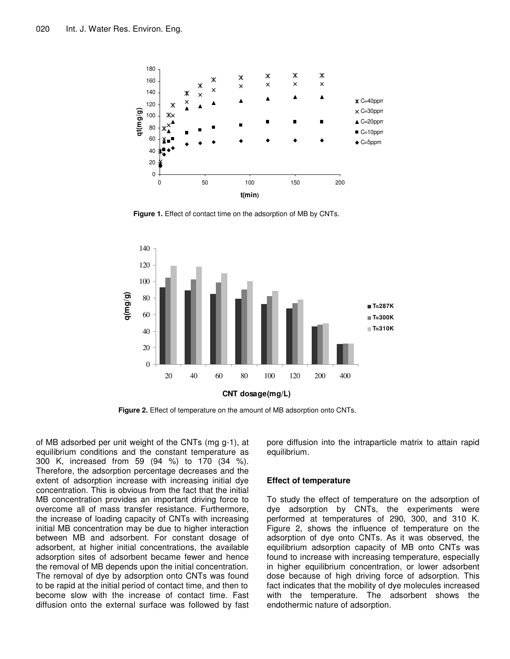

**Figure 1.** Effect of contact time on the adsorption of MB by CNTs.



**Figure 2.** Effect of temperature on the amount of MB adsorption onto CNTs.

of MB adsorbed per unit weight of the CNTs (mg g-1), at equilibrium conditions and the constant temperature as 300 K, increased from 59 (94 %) to 170 (34 %). Therefore, the adsorption percentage decreases and the extent of adsorption increase with increasing initial dye concentration. This is obvious from the fact that the initial MB concentration provides an important driving force to overcome all of mass transfer resistance. Furthermore, the increase of loading capacity of CNTs with increasing initial MB concentration may be due to higher interaction between MB and adsorbent. For constant dosage of adsorbent, at higher initial concentrations, the available adsorption sites of adsorbent became fewer and hence the removal of MB depends upon the initial concentration. The removal of dye by adsorption onto CNTs was found to be rapid at the initial period of contact time, and then to become slow with the increase of contact time. Fast diffusion onto the external surface was followed by fast pore diffusion into the intraparticle matrix to attain rapid equilibrium.

## **Effect of temperature**

To study the effect of temperature on the adsorption of dye adsorption by CNTs, the experiments were performed at temperatures of 290, 300, and 310 K. Figure 2, shows the influence of temperature on the adsorption of dye onto CNTs. As it was observed, the equilibrium adsorption capacity of MB onto CNTs was found to increase with increasing temperature, especially in higher equilibrium concentration, or lower adsorbent dose because of high driving force of adsorption. This fact indicates that the mobility of dye molecules increased with the temperature. The adsorbent shows the endothermic nature of adsorption.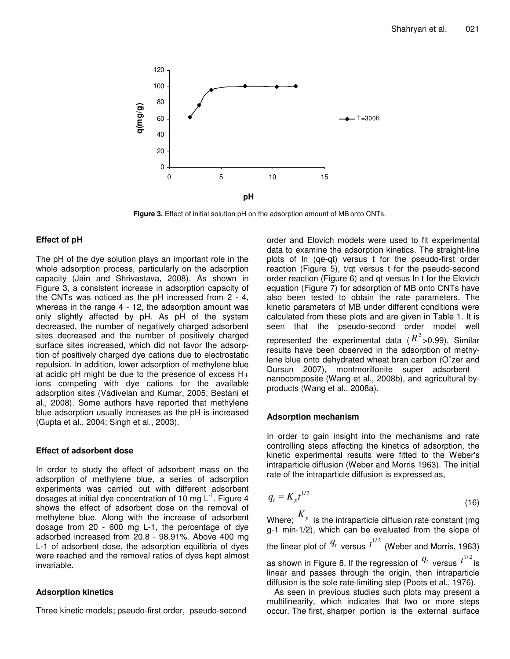

**Figure 3.** Effect of initial solution pH on the adsorption amount of MB onto CNTs.

# **Effect of pH**

The pH of the dye solution plays an important role in the whole adsorption process, particularly on the adsorption capacity (Jain and Shrivastava, 2008). As shown in Figure 3, a consistent increase in adsorption capacity of the CNTs was noticed as the pH increased from 2 - 4, whereas in the range 4 - 12, the adsorption amount was only slightly affected by pH. As pH of the system decreased, the number of negatively charged adsorbent sites decreased and the number of positively charged surface sites increased, which did not favor the adsorption of positively charged dye cations due to electrostatic repulsion. In addition, lower adsorption of methylene blue at acidic pH might be due to the presence of excess H+ ions competing with dye cations for the available adsorption sites (Vadivelan and Kumar, 2005; Bestani et al., 2008). Some authors have reported that methylene blue adsorption usually increases as the pH is increased (Gupta et al., 2004; Singh et al., 2003).

# **Effect of adsorbent dose**

In order to study the effect of adsorbent mass on the adsorption of methylene blue, a series of adsorption experiments was carried out with different adsorbent dosages at initial dye concentration of 10 mg L<sup>-1</sup>. Figure 4 shows the effect of adsorbent dose on the removal of methylene blue. Along with the increase of adsorbent dosage from 20 - 600 mg L-1, the percentage of dye adsorbed increased from 20.8 - 98.91%. Above 400 mg L-1 of adsorbent dose, the adsorption equilibria of dyes were reached and the removal ratios of dyes kept almost invariable.

# **Adsorption kinetics**

Three kinetic models; pseudo-first order, pseudo-second

order and Elovich models were used to fit experimental data to examine the adsorption kinetics. The straight-line plots of ln (qe-qt) versus t for the pseudo-first order reaction (Figure 5), t/qt versus t for the pseudo-second order reaction (Figure 6) and qt versus ln t for the Elovich equation (Figure 7) for adsorption of MB onto CNTs have also been tested to obtain the rate parameters. The kinetic parameters of MB under different conditions were calculated from these plots and are given in Table 1. It is seen that the pseudo-second order model well represented the experimental data ( $R^2$  >0.99). Similar results have been observed in the adsorption of methylene blue onto dehydrated wheat bran carbon (O¨zer and Dursun 2007), montmorillonite super adsorbent nanocomposite (Wang et al., 2008b), and agricultural byproducts (Wang et al., 2008a).

# **Adsorption mechanism**

In order to gain insight into the mechanisms and rate controlling steps affecting the kinetics of adsorption, the kinetic experimental results were fitted to the Weber's intraparticle diffusion (Weber and Morris 1963). The initial rate of the intraparticle diffusion is expressed as,

$$
q_t = K_p t^{1/2} \tag{16}
$$

Where;  $\overline{K_p}$  is the intraparticle diffusion rate constant (mg g-1 min-1/2), which can be evaluated from the slope of the linear plot of  $\frac{q_{\rm\scriptscriptstyle t}}{q_{\rm\scriptscriptstyle T}}$  versus  $t^{1/2}$  (Weber and Morris, 1963) as shown in Figure 8. If the regression of  $\frac{q_t}{q}$  versus  $t^{1/2}$  is linear and passes through the origin, then intraparticle diffusion is the sole rate-limiting step (Poots et al., 1976).

As seen in previous studies such plots may present a multilinearity, which indicates that two or more steps occur. The first, sharper portion is the external surface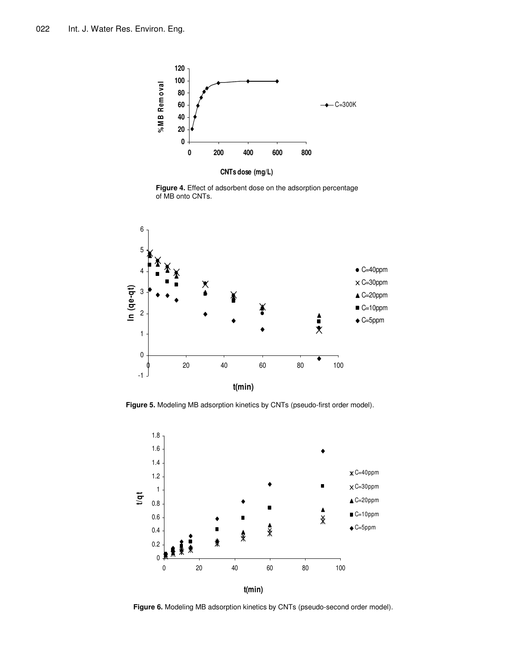

**Figure 4.** Effect of adsorbent dose on the adsorption percentage of MB onto CNTs.



**Figure 5.** Modeling MB adsorption kinetics by CNTs (pseudo-first order model).



**Figure 6.** Modeling MB adsorption kinetics by CNTs (pseudo-second order model).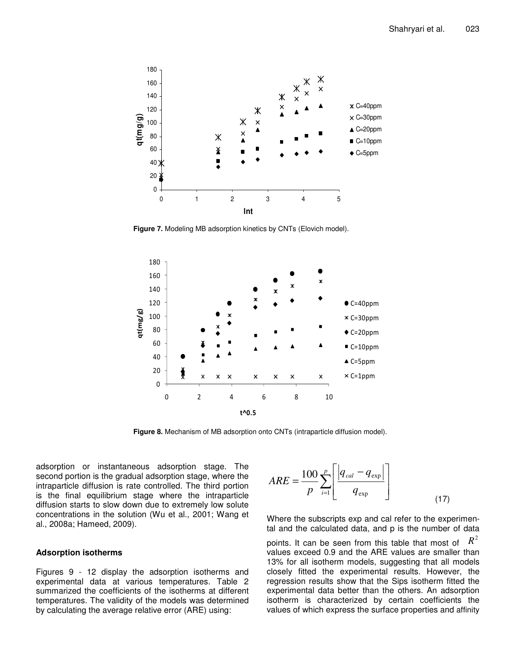

**Figure 7.** Modeling MB adsorption kinetics by CNTs (Elovich model).



**Figure 8.** Mechanism of MB adsorption onto CNTs (intraparticle diffusion model).

adsorption or instantaneous adsorption stage. The second portion is the gradual adsorption stage, where the intraparticle diffusion is rate controlled. The third portion is the final equilibrium stage where the intraparticle diffusion starts to slow down due to extremely low solute concentrations in the solution (Wu et al., 2001; Wang et al., 2008a; Hameed, 2009).

## **Adsorption isotherms**

Figures 9 - 12 display the adsorption isotherms and experimental data at various temperatures. Table 2 summarized the coefficients of the isotherms at different temperatures. The validity of the models was determined by calculating the average relative error (ARE) using:

$$
ARE = \frac{100}{p} \sum_{i=1}^{p} \left[ \frac{q_{cal} - q_{\exp}}{q_{\exp}} \right]
$$
 (17)

Where the subscripts exp and cal refer to the experimental and the calculated data, and p is the number of data points. It can be seen from this table that most of  $\ R^2$ values exceed 0.9 and the ARE values are smaller than 13% for all isotherm models, suggesting that all models closely fitted the experimental results. However, the regression results show that the Sips isotherm fitted the experimental data better than the others. An adsorption isotherm is characterized by certain coefficients the values of which express the surface properties and affinity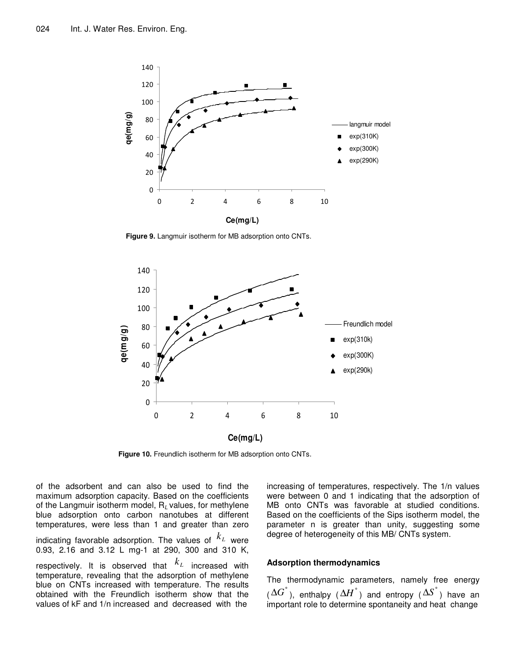

**Figure 9.** Langmuir isotherm for MB adsorption onto CNTs.



**Figure 10.** Freundlich isotherm for MB adsorption onto CNTs.

of the adsorbent and can also be used to find the maximum adsorption capacity. Based on the coefficients of the Langmuir isotherm model, R*<sup>L</sup>* values, for methylene blue adsorption onto carbon nanotubes at different temperatures, were less than 1 and greater than zero indicating favorable adsorption. The values of  $^{\textstyle k_{\scriptscriptstyle L}}$  were 0.93, 2.16 and 3.12 L mg-1 at 290, 300 and 310 K, respectively. It is observed that *L k* increased with temperature, revealing that the adsorption of methylene blue on CNTs increased with temperature. The results obtained with the Freundlich isotherm show that the values of kF and 1/n increased and decreased with the

increasing of temperatures, respectively. The 1/n values were between 0 and 1 indicating that the adsorption of MB onto CNTs was favorable at studied conditions. Based on the coefficients of the Sips isotherm model, the parameter n is greater than unity, suggesting some degree of heterogeneity of this MB/ CNTs system.

# **Adsorption thermodynamics**

The thermodynamic parameters, namely free energy  $(\Delta G^{\degree})$ , enthalpy  $(\Delta H^{\degree})$  and entropy  $(\Delta S^{\degree})$  have an important role to determine spontaneity and heat change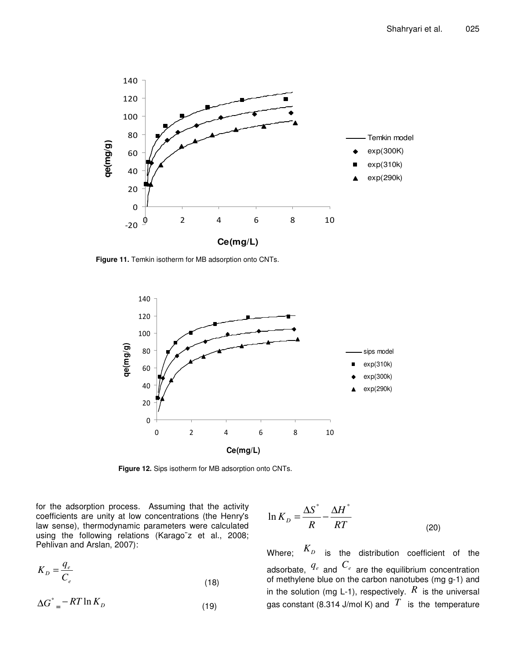

**Figure 11.** Temkin isotherm for MB adsorption onto CNTs.



**Figure 12.** Sips isotherm for MB adsorption onto CNTs.

for the adsorption process. Assuming that the activity coefficients are unity at low concentrations (the Henry's law sense), thermodynamic parameters were calculated using the following relations (Karago¨z et al., 2008; Pehlivan and Arslan, 2007):

$$
K_D = \frac{q_e}{C_e} \tag{18}
$$

$$
\Delta G^{\circ} = -RT \ln K_D \tag{19}
$$

$$
\ln K_D = \frac{\Delta S^{\circ}}{R} - \frac{\Delta H^{\circ}}{RT}
$$
 (20)

Where; *K<sup>D</sup>* is the distribution coefficient of the adsorbate, *<sup>q</sup><sup>e</sup>* and *<sup>C</sup><sup>e</sup>* are the equilibrium concentration of methylene blue on the carbon nanotubes (mg g-1) and in the solution (mg L-1), respectively.  $R$  is the universal gas constant (8.314 J/mol K) and  $\overline{T}$  is the temperature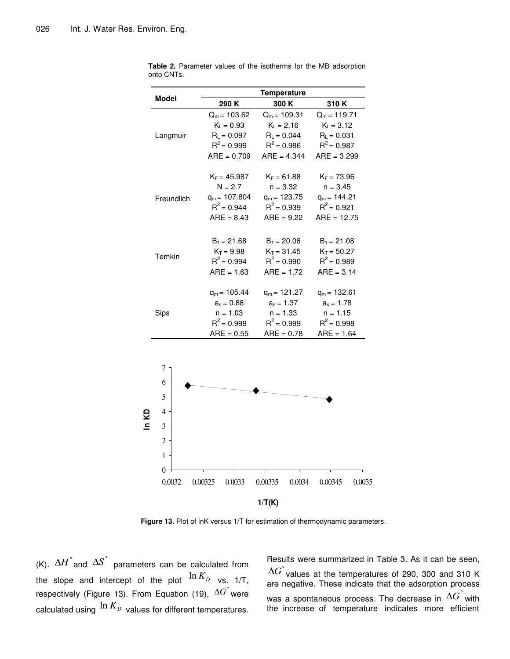| Model          | <b>Temperature</b> |                |                |  |  |
|----------------|--------------------|----------------|----------------|--|--|
|                | 290 K              | 300 K          | 310K           |  |  |
|                | $Q_m = 103.62$     | $Q_m = 109.31$ | $Q_m = 119.71$ |  |  |
|                | $K_L = 0.93$       | $K_L = 2.16$   | $K_L = 3.12$   |  |  |
| Langmuir       | $R_L = 0.097$      | $R_L = 0.044$  | $R_L = 0.031$  |  |  |
|                | $R^2 = 0.999$      | $R^2 = 0.986$  | $R^2 = 0.987$  |  |  |
|                | $ARE = 0.709$      | $ARE = 4.344$  | $ARE = 3.299$  |  |  |
|                | $K_F = 45.987$     | $K_F = 61.88$  | $K_F = 73.96$  |  |  |
|                | $N = 2.7$          | $n = 3.32$     | $n = 3.45$     |  |  |
| Freundlich     | $q_m = 107.804$    | $q_m = 123.75$ | $q_m = 144.21$ |  |  |
|                | $R^2 = 0.944$      | $R^2 = 0.939$  | $R^2 = 0.921$  |  |  |
|                | $ARE = 8.43$       | $ARE = 9.22$   | $ARE = 12.75$  |  |  |
|                | $B_1 = 21.68$      | $B_1 = 20.06$  | $B_1 = 21.08$  |  |  |
|                | $K_T = 9.98$       | $K_T = 31.45$  | $K_T = 50.27$  |  |  |
| Temkin         | $R^2 = 0.994$      | $R^2 = 0.990$  | $R^2 = 0.989$  |  |  |
|                | $ARE = 1.63$       | $ARE = 1.72$   | $ARE = 3.14$   |  |  |
|                | $q_m = 105.44$     | $q_m = 121.27$ | $q_m = 132.61$ |  |  |
|                | $a_s = 0.88$       | $a_s = 1.37$   | $a_s = 1.78$   |  |  |
| Sips           | $n = 1.03$         | $n = 1.33$     | $n = 1.15$     |  |  |
|                | $R^2 = 0.999$      | $R^2 = 0.999$  | $R^2 = 0.998$  |  |  |
|                | $ARE = 0.55$       | $ARE = 0.78$   | $ARE = 1.64$   |  |  |
|                |                    |                |                |  |  |
| 7              |                    |                |                |  |  |
| 6              |                    |                |                |  |  |
| 5              |                    |                |                |  |  |
| 4<br>S         |                    |                |                |  |  |
| 3              |                    |                |                |  |  |
| $\overline{c}$ |                    |                |                |  |  |

**Table 2.** Parameter values of the isotherms for the MB adsorption onto CNTs.

**Figure 13.** Plot of lnK versus 1/T for estimation of thermodynamic parameters.

0.0032 0.00325 0.0033 0.00335 0.0034 0.00345 0.0035

**1/T(K)**

(K).  $\Delta H^{\degree}$  and  $\Delta S^{\degree}$  parameters can be calculated from the slope and intercept of the plot  $\frac{\ln K_D}{\ln K_D}$  vs. 1/T, respectively (Figure 13). From Equation (19), ° ∆*G* were calculated using  $^{\ln K_{\scriptscriptstyle D}}$  values for different temperatures.

0 1

> Results were summarized in Table 3. As it can be seen,  $\Delta G^{^{\circ}}$ values at the temperatures of 290, 300 and 310 K are negative. These indicate that the adsorption process was a spontaneous process. The decrease in  $\Delta G^{\degree}$  with the increase of temperature indicates more efficient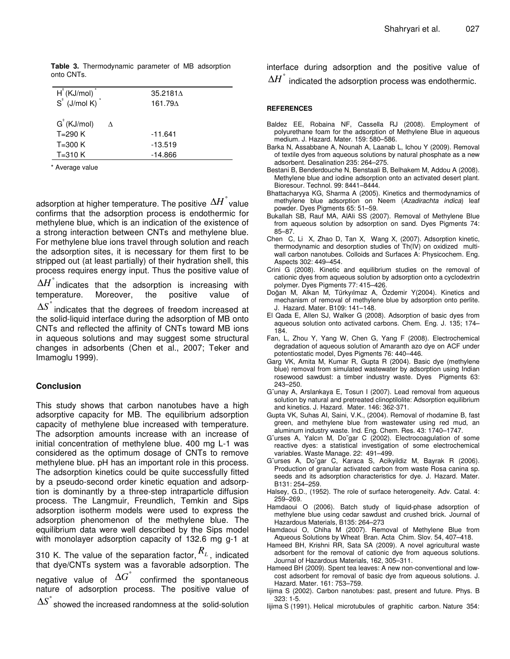**Table 3.** Thermodynamic parameter of MB adsorption onto CNTs.

| $H^2$ (KJ/mol) <sup>*</sup>        |                 | $35.2181\Delta$ |
|------------------------------------|-----------------|-----------------|
| $S^{\circ}$ (J/mol K) <sup>*</sup> | 161.79 $\Delta$ |                 |
|                                    |                 |                 |
| $G^{\text{H}}$ (KJ/mol)            | Λ               |                 |
| $T=290 K$                          | $-11.641$       |                 |
| $T=300 K$                          | $-13.519$       |                 |
| $T=310 K$                          | $-14.866$       |                 |

\* Average value

adsorption at higher temperature. The positive  $\Delta \overline{H}^{\degree}$ value confirms that the adsorption process is endothermic for methylene blue, which is an indication of the existence of a strong interaction between CNTs and methylene blue. For methylene blue ions travel through solution and reach the adsorption sites, it is necessary for them first to be stripped out (at least partially) of their hydration shell, this process requires energy input. Thus the positive value of

 $\Delta H$  indicates that the adsorption is increasing with temperature. Moreover, the positive value of

° ∆*S* indicates that the degrees of freedom increased at the solid-liquid interface during the adsorption of MB onto CNTs and reflected the affinity of CNTs toward MB ions in aqueous solutions and may suggest some structural changes in adsorbents (Chen et al., 2007; Teker and Imamoglu 1999).

# **Conclusion**

This study shows that carbon nanotubes have a high adsorptive capacity for MB. The equilibrium adsorption capacity of methylene blue increased with temperature. The adsorption amounts increase with an increase of initial concentration of methylene blue. 400 mg L-1 was considered as the optimum dosage of CNTs to remove methylene blue. pH has an important role in this process. The adsorption kinetics could be quite successfully fitted by a pseudo-second order kinetic equation and adsorption is dominantly by a three-step intraparticle diffusion process. The Langmuir, Freundlich, Temkin and Sips adsorption isotherm models were used to express the adsorption phenomenon of the methylene blue. The equilibrium data were well described by the Sips model with monolayer adsorption capacity of 132.6 mg g-1 at

310 K. The value of the separation factor, *R<sup>L</sup>* , indicated that dye/CNTs system was a favorable adsorption. The

negative value of  $\Delta G^{\degree}$  confirmed the spontaneous nature of adsorption process. The positive value of

 $\Delta S$  showed the increased randomness at the solid-solution

interface during adsorption and the positive value of

 $\Delta H^{\dagger}$  indicated the adsorption process was endothermic.

# **REFERENCES**

- Baldez EE, Robaina NF, Cassella RJ (2008). Employment of polyurethane foam for the adsorption of Methylene Blue in aqueous medium. J. Hazard. Mater. 159: 580–586.
- Barka N, Assabbane A, Nounah A, Laanab L, Ichou Y (2009). Removal of textile dyes from aqueous solutions by natural phosphate as a new adsorbent. Desalination 235: 264–275.
- Bestani B, Benderdouche N, Benstaali B, Belhakem M, Addou A (2008). Methylene blue and iodine adsorption onto an activated desert plant. Bioresour. Technol. 99: 8441–8444.
- Bhattacharyya KG, Sharma A (2005). Kinetics and thermodynamics of methylene blue adsorption on Neem (*Azadirachta indica*) leaf powder. Dyes Pigments 65: 51–59.
- Bukallah SB, Rauf MA, AlAli SS (2007). Removal of Methylene Blue from aqueous solution by adsorption on sand. Dyes Pigments 74: 85–87.
- Chen C, Li X, Zhao D, Tan X, Wang X, (2007). Adsorption kinetic, thermodynamic and desorption studies of Th(IV) on oxidized multiwall carbon nanotubes. Colloids and Surfaces A: Physicochem. Eng. Aspects 302: 449–454.
- Crini G (2008). Kinetic and equilibrium studies on the removal of cationic dyes from aqueous solution by adsorption onto a cyclodextrin polymer. Dyes Pigments 77: 415–426.
- Doğan M, Alkan M, Türkyılmaz A, Özdemir Y(2004). Kinetics and mechanism of removal of methylene blue by adsorption onto perlite. J. Hazard. Mater. B109: 141–148.
- El Qada E, Allen SJ, Walker G (2008). Adsorption of basic dyes from aqueous solution onto activated carbons. Chem. Eng. J. 135; 174– 184.
- Fan, L, Zhou Y, Yang W, Chen G, Yang F (2008). Electrochemical degradation of aqueous solution of Amaranth azo dye on ACF under potentiostatic model, Dyes Pigments 76: 440–446.
- Garg VK, Amita M, Kumar R, Gupta R (2004). Basic dye (methylene blue) removal from simulated wastewater by adsorption using Indian rosewood sawdust: a timber industry waste. Dyes Pigments 63: 243–250.
- G¨unay A, Arslankaya E, Tosun I (2007). Lead removal from aqueous solution by natural and pretreated clinoptilolite: Adsorption equilibrium and kinetics. J. Hazard. Mater. 146: 362-371.
- Gupta VK, Suhas AI, Saini, V.K., (2004). Removal of rhodamine B, fast green, and methylene blue from wastewater using red mud, an aluminum industry waste. Ind. Eng. Chem. Res. 43: 1740–1747.
- G¨urses A, Yalcın M, Do˘gar C (2002). Electrocoagulation of some reactive dyes: a statistical investigation of some electrochemical variables. Waste Manage. 22: 491–499.
- G¨urses A, Do˘gar C, Karaca S, Acikyildiz M, Bayrak R (2006). Production of granular activated carbon from waste Rosa canina sp. seeds and its adsorption characteristics for dye. J. Hazard. Mater. B131: 254–259.
- Halsey, G.D., (1952). The role of surface heterogeneity. Adv. Catal. 4: 259–269.
- Hamdaoui O (2006). Batch study of liquid-phase adsorption of methylene blue using cedar sawdust and crushed brick. Journal of Hazardous Materials, B135: 264–273
- Hamdaoui O, Chiha M (2007). Removal of Methylene Blue from Aqueous Solutions by Wheat Bran. Acta Chim. Slov. 54, 407–418.
- Hameed BH, Krishni RR, Sata SA (2009). A novel agricultural waste adsorbent for the removal of cationic dye from aqueous solutions. Journal of Hazardous Materials, 162, 305–311.
- Hameed BH (2009). Spent tea leaves: A new non-conventional and lowcost adsorbent for removal of basic dye from aqueous solutions. J. Hazard. Mater. 161: 753–759.
- Iijima S (2002). Carbon nanotubes: past, present and future. Phys. B 323: 1-5.
- Iijima S (1991). Helical microtubules of graphitic carbon. Nature 354: